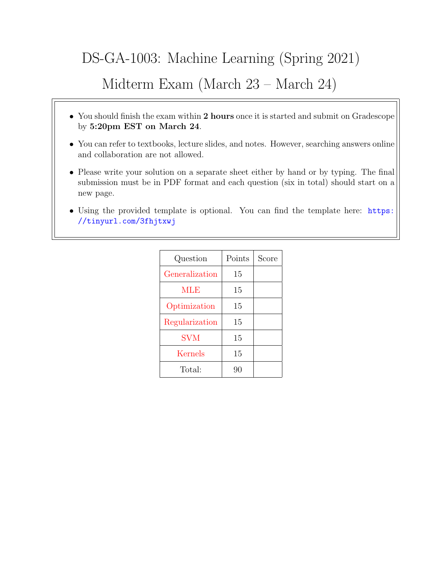# DS-GA-1003: Machine Learning (Spring 2021)

# Midterm Exam (March 23 – March 24)

- You should finish the exam within 2 hours once it is started and submit on Gradescope by 5:20pm EST on March 24.
- You can refer to textbooks, lecture slides, and notes. However, searching answers online and collaboration are not allowed.
- Please write your solution on a separate sheet either by hand or by typing. The final submission must be in PDF format and each question (six in total) should start on a new page.
- Using the provided template is optional. You can find the template here: [https:](https://tinyurl.com/3fhjtxwj) [//tinyurl.com/3fhjtxwj](https://tinyurl.com/3fhjtxwj)

| Question       | Points | Score |
|----------------|--------|-------|
| Generalization | 15     |       |
| MLE            | 15     |       |
| Optimization   | 15     |       |
| Regularization | 15     |       |
| <b>SVM</b>     | 15     |       |
| Kernels        | 15     |       |
| Total:         | 90     |       |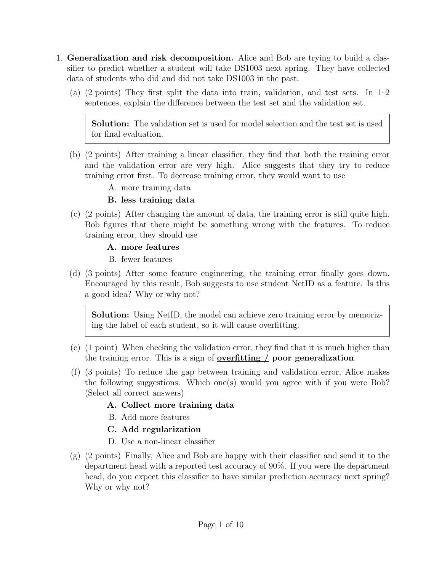- <span id="page-1-0"></span>1. Generalization and risk decomposition. Alice and Bob are trying to build a classifier to predict whether a student will take DS1003 next spring. They have collected data of students who did and did not take DS1003 in the past.
	- (a) (2 points) They first split the data into train, validation, and test sets. In 1–2 sentences, explain the difference between the test set and the validation set.

Solution: The validation set is used for model selection and the test set is used for final evaluation.

- (b) (2 points) After training a linear classifier, they find that both the training error and the validation error are very high. Alice suggests that they try to reduce training error first. To decrease training error, they would want to use
	- A. more training data

## B. less training data

- (c) (2 points) After changing the amount of data, the training error is still quite high. Bob figures that there might be something wrong with the features. To reduce training error, they should use
	- A. more features
	- B. fewer features
- (d) (3 points) After some feature engineering, the training error finally goes down. Encouraged by this result, Bob suggests to use student NetID as a feature. Is this a good idea? Why or why not?

Solution: Using NetID, the model can achieve zero training error by memorizing the label of each student, so it will cause overfitting.

- (e) (1 point) When checking the validation error, they find that it is much higher than the training error. This is a sign of **<u>overfitting</u>**  $\angle$  **poor generalization**.
- (f) (3 points) To reduce the gap between training and validation error, Alice makes the following suggestions. Which one(s) would you agree with if you were Bob? (Select all correct answers)
	- A. Collect more training data
	- B. Add more features
	- C. Add regularization
	- D. Use a non-linear classifier
- (g) (2 points) Finally, Alice and Bob are happy with their classifier and send it to the department head with a reported test accuracy of 90%. If you were the department head, do you expect this classifier to have similar prediction accuracy next spring? Why or why not?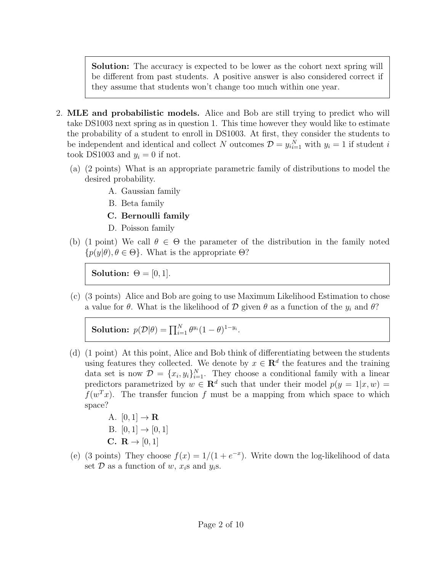Solution: The accuracy is expected to be lower as the cohort next spring will be different from past students. A positive answer is also considered correct if they assume that students won't change too much within one year.

- <span id="page-2-0"></span>2. MLE and probabilistic models. Alice and Bob are still trying to predict who will take DS1003 next spring as in question 1. This time however they would like to estimate the probability of a student to enroll in DS1003. At first, they consider the students to be independent and identical and collect N outcomes  $\mathcal{D} = y_{i}^{N}_{i=1}$  with  $y_i = 1$  if student i took DS1003 and  $y_i = 0$  if not.
	- (a) (2 points) What is an appropriate parametric family of distributions to model the desired probability.
		- A. Gaussian family
		- B. Beta family
		- C. Bernoulli family
		- D. Poisson family
	- (b) (1 point) We call  $\theta \in \Theta$  the parameter of the distribution in the family noted  ${p(y|\theta), \theta \in \Theta}$ . What is the appropriate  $\Theta$ ?

Solution:  $\Theta = [0, 1]$ .

(c) (3 points) Alice and Bob are going to use Maximum Likelihood Estimation to chose a value for  $\theta$ . What is the likelihood of  $\mathcal D$  given  $\theta$  as a function of the  $y_i$  and  $\theta$ ?

Solution:  $p(\mathcal{D}|\theta) = \prod_{i=1}^N \theta^{y_i} (1-\theta)^{1-y_i}$ .

- (d) (1 point) At this point, Alice and Bob think of differentiating between the students using features they collected. We denote by  $x \in \mathbb{R}^d$  the features and the training data set is now  $\mathcal{D} = \{x_i, y_i\}_{i=1}^N$ . They choose a conditional family with a linear predictors parametrized by  $w \in \mathbb{R}^d$  such that under their model  $p(y = 1 | x, w) =$  $f(w^T x)$ . The transfer funcion f must be a mapping from which space to which space?
	- A.  $[0,1] \rightarrow \mathbf{R}$
	- B.  $[0, 1] \rightarrow [0, 1]$
	- C.  $\mathbf{R} \to [0, 1]$
- (e) (3 points) They choose  $f(x) = 1/(1 + e^{-x})$ . Write down the log-likelihood of data set  $\mathcal D$  as a function of  $w, x_i$ s and  $y_i$ s.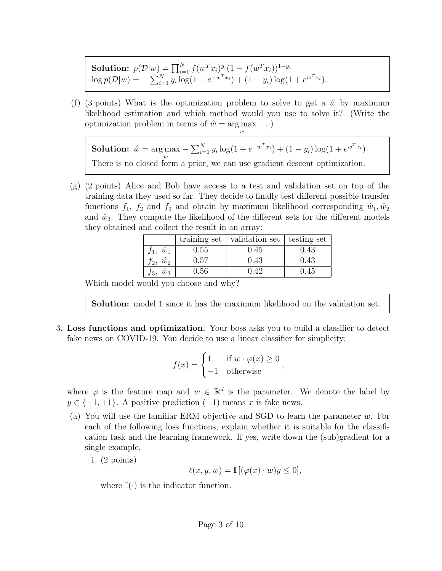Solution:  $p(\mathcal{D}|w) = \prod_{i=1}^{N} f(w^T x_i)^{y_i} (1 - f(w^T x_i))^{1 - y_i}$  $\log p(\mathcal{D}|w) = -\sum_{i=1}^{N} y_i \log(1 + e^{-w^T x_i}) + (1 - y_i) \log(1 + e^{w^T x_i}).$ 

(f) (3 points) What is the optimization problem to solve to get a  $\hat{w}$  by maximum likelihood estimation and which method would you use to solve it? (Write the optimization problem in terms of  $\hat{w} = \arg \max \dots$ w

**Solution:**  $\hat{w} = \arg \max$ w  $-\sum_{i=1}^{N} y_i \log(1 + e^{-w^T x_i}) + (1 - y_i) \log(1 + e^{w^T x_i})$ There is no closed form a prior, we can use gradient descent optimization.

(g) (2 points) Alice and Bob have access to a test and validation set on top of the training data they used so far. They decide to finally test different possible transfer functions  $f_1$ ,  $f_2$  and  $f_3$  and obtain by maximum likelihood corresponding  $\hat{w}_1, \hat{w}_2$ and  $\hat{w}_3$ . They compute the likelihood of the different sets for the different models they obtained and collect the result in an array:

|                       | training set | validation set | testing set |
|-----------------------|--------------|----------------|-------------|
| $\hat{w}_1$           | 0.55         | 0.45           | 0.43        |
| $\hat{w}_2$<br>$t_2,$ | $\rm 0.57$   | 0.43           | 0.43        |
| $f_3, \hat{w}_3$      | $0.56\,$     | () 42          | 9.45        |

Which model would you choose and why?

Solution: model 1 since it has the maximum likelihood on the validation set.

<span id="page-3-0"></span>3. Loss functions and optimization. Your boss asks you to build a classifier to detect fake news on COVID-19. You decide to use a linear classifier for simplicity:

$$
f(x) = \begin{cases} 1 & \text{if } w \cdot \varphi(x) \ge 0 \\ -1 & \text{otherwise} \end{cases}
$$

where  $\varphi$  is the feature map and  $w \in \mathbb{R}^d$  is the parameter. We denote the label by  $y \in \{-1, +1\}$ . A positive prediction  $(+1)$  means x is fake news.

- (a) You will use the familiar ERM objective and SGD to learn the parameter w. For each of the following loss functions, explain whether it is suitable for the classification task and the learning framework. If yes, write down the (sub)gradient for a single example.
	- i. (2 points)

$$
\ell(x, y, w) = \mathbb{I}[(\varphi(x) \cdot w)y \le 0],
$$

where  $\mathbb{I}(\cdot)$  is the indicator function.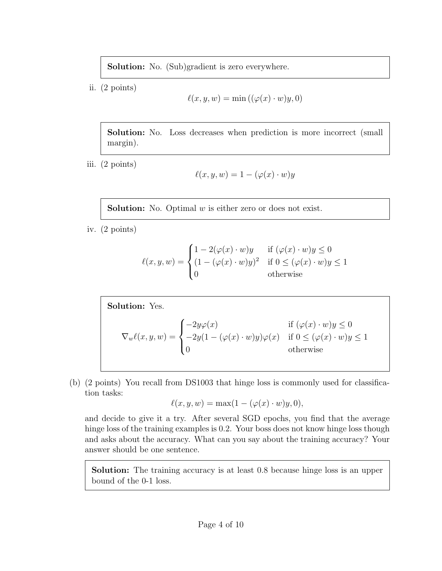Solution: No. (Sub)gradient is zero everywhere.

ii. (2 points)

$$
\ell(x, y, w) = \min((\varphi(x) \cdot w)y, 0)
$$

Solution: No. Loss decreases when prediction is more incorrect (small margin).

iii. (2 points)

$$
\ell(x, y, w) = 1 - (\varphi(x) \cdot w)y
$$

**Solution:** No. Optimal  $w$  is either zero or does not exist.

iv. (2 points)

$$
\ell(x, y, w) = \begin{cases}\n1 - 2(\varphi(x) \cdot w)y & \text{if } (\varphi(x) \cdot w)y \le 0 \\
(1 - (\varphi(x) \cdot w)y)^2 & \text{if } 0 \le (\varphi(x) \cdot w)y \le 1 \\
0 & \text{otherwise}\n\end{cases}
$$

Solution: Yes.  
\n
$$
\nabla_w \ell(x, y, w) = \begin{cases}\n-2y\varphi(x) & \text{if } (\varphi(x) \cdot w)y \le 0 \\
-2y(1 - (\varphi(x) \cdot w)y)\varphi(x) & \text{if } 0 \le (\varphi(x) \cdot w)y \le 1 \\
0 & \text{otherwise}\n\end{cases}
$$

(b) (2 points) You recall from DS1003 that hinge loss is commonly used for classification tasks:

$$
\ell(x, y, w) = \max(1 - (\varphi(x) \cdot w)y, 0),
$$

and decide to give it a try. After several SGD epochs, you find that the average hinge loss of the training examples is 0.2. Your boss does not know hinge loss though and asks about the accuracy. What can you say about the training accuracy? Your answer should be one sentence.

Solution: The training accuracy is at least 0.8 because hinge loss is an upper bound of the 0-1 loss.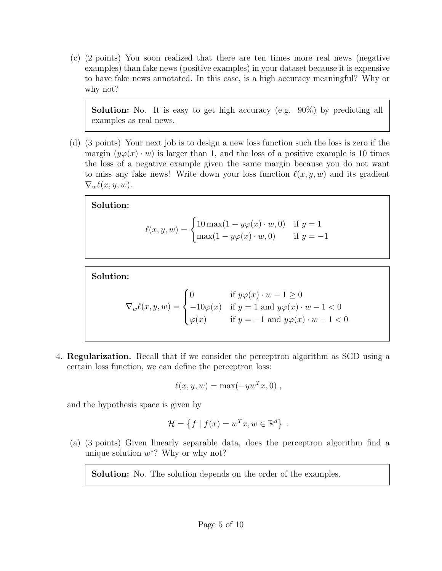(c) (2 points) You soon realized that there are ten times more real news (negative examples) than fake news (positive examples) in your dataset because it is expensive to have fake news annotated. In this case, is a high accuracy meaningful? Why or why not?

Solution: No. It is easy to get high accuracy (e.g. 90%) by predicting all examples as real news.

(d) (3 points) Your next job is to design a new loss function such the loss is zero if the margin  $(y\varphi(x) \cdot w)$  is larger than 1, and the loss of a positive example is 10 times the loss of a negative example given the same margin because you do not want to miss any fake news! Write down your loss function  $\ell(x, y, w)$  and its gradient  $\nabla_w \ell(x, y, w)$ .

Solution:

$$
\ell(x, y, w) = \begin{cases} 10 \max(1 - y\varphi(x) \cdot w, 0) & \text{if } y = 1 \\ \max(1 - y\varphi(x) \cdot w, 0) & \text{if } y = -1 \end{cases}
$$

Solution:

$$
\nabla_w \ell(x, y, w) = \begin{cases} 0 & \text{if } y \varphi(x) \cdot w - 1 \ge 0 \\ -10\varphi(x) & \text{if } y = 1 \text{ and } y \varphi(x) \cdot w - 1 < 0 \\ \varphi(x) & \text{if } y = -1 \text{ and } y \varphi(x) \cdot w - 1 < 0 \end{cases}
$$

<span id="page-5-0"></span>4. Regularization. Recall that if we consider the perceptron algorithm as SGD using a certain loss function, we can define the perceptron loss:

$$
\ell(x, y, w) = \max(-yw^T x, 0) ,
$$

and the hypothesis space is given by

$$
\mathcal{H} = \{ f \mid f(x) = w^T x, w \in \mathbb{R}^d \} .
$$

(a) (3 points) Given linearly separable data, does the perceptron algorithm find a unique solution  $w^*$ ? Why or why not?

Solution: No. The solution depends on the order of the examples.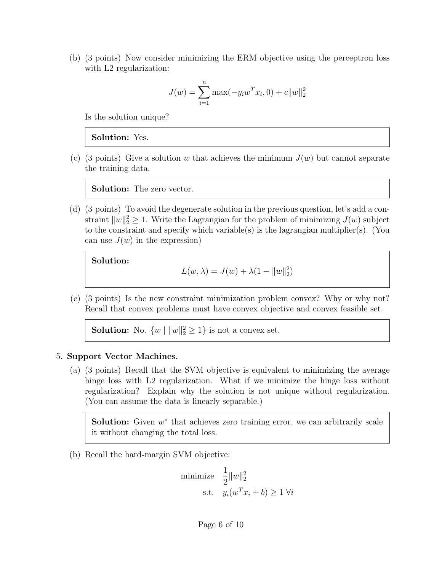(b) (3 points) Now consider minimizing the ERM objective using the perceptron loss with L<sub>2</sub> regularization:

$$
J(w) = \sum_{i=1}^{n} \max(-y_i w^T x_i, 0) + c ||w||_2^2
$$

Is the solution unique?

#### Solution: Yes.

(c) (3 points) Give a solution w that achieves the minimum  $J(w)$  but cannot separate the training data.

Solution: The zero vector.

(d) (3 points) To avoid the degenerate solution in the previous question, let's add a constraint  $||w||_2^2 \ge 1$ . Write the Lagrangian for the problem of minimizing  $J(w)$  subject to the constraint and specify which variable(s) is the lagrangian multiplier(s). (You can use  $J(w)$  in the expression)

Solution:

$$
L(w, \lambda) = J(w) + \lambda(1 - ||w||_2^2)
$$

(e) (3 points) Is the new constraint minimization problem convex? Why or why not? Recall that convex problems must have convex objective and convex feasible set.

**Solution:** No.  $\{w \mid ||w||_2^2 \ge 1\}$  is not a convex set.

#### <span id="page-6-0"></span>5. Support Vector Machines.

(a) (3 points) Recall that the SVM objective is equivalent to minimizing the average hinge loss with L2 regularization. What if we minimize the hinge loss without regularization? Explain why the solution is not unique without regularization. (You can assume the data is linearly separable.)

**Solution:** Given  $w^*$  that achieves zero training error, we can arbitrarily scale it without changing the total loss.

(b) Recall the hard-margin SVM objective:

minimize 1 2  $||w||_2^2$ s.t.  $y_i(w^T x_i + b) \geq 1 \,\forall i$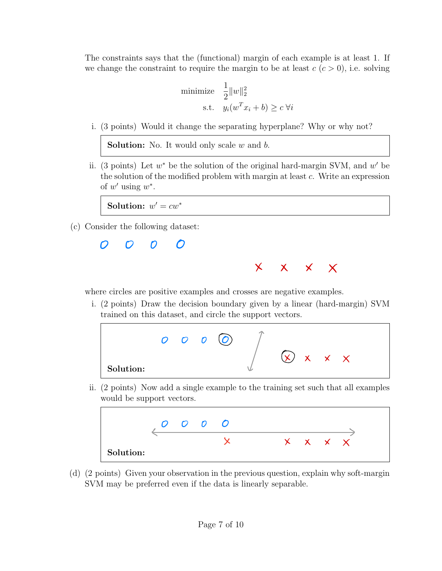The constraints says that the (functional) margin of each example is at least 1. If we change the constraint to require the margin to be at least  $c$  ( $c > 0$ ), i.e. solving

minimize 
$$
\frac{1}{2} ||w||_2^2
$$
  
s.t.  $y_i(w^T x_i + b) \ge c \forall i$ 

i. (3 points) Would it change the separating hyperplane? Why or why not?

**Solution:** No. It would only scale  $w$  and  $b$ .

ii. (3 points) Let  $w^*$  be the solution of the original hard-margin SVM, and  $w'$  be the solution of the modified problem with margin at least c. Write an expression of  $w'$  using  $w^*$ .

Solution:  $w' = cw^*$ 

(c) Consider the following dataset:

O O O O



where circles are positive examples and crosses are negative examples.

i. (2 points) Draw the decision boundary given by a linear (hard-margin) SVM trained on this dataset, and circle the support vectors.



ii. (2 points) Now add a single example to the training set such that all examples would be support vectors.



(d) (2 points) Given your observation in the previous question, explain why soft-margin SVM may be preferred even if the data is linearly separable.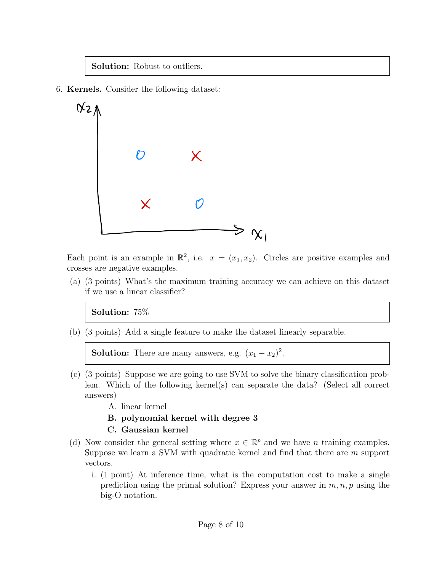## Solution: Robust to outliers.

<span id="page-8-0"></span>6. Kernels. Consider the following dataset:



Each point is an example in  $\mathbb{R}^2$ , i.e.  $x = (x_1, x_2)$ . Circles are positive examples and crosses are negative examples.

(a) (3 points) What's the maximum training accuracy we can achieve on this dataset if we use a linear classifier?

Solution: 75%

(b) (3 points) Add a single feature to make the dataset linearly separable.

**Solution:** There are many answers, e.g.  $(x_1 - x_2)^2$ .

- (c) (3 points) Suppose we are going to use SVM to solve the binary classification problem. Which of the following kernel(s) can separate the data? (Select all correct answers)
	- A. linear kernel
	- B. polynomial kernel with degree 3
	- C. Gaussian kernel
- (d) Now consider the general setting where  $x \in \mathbb{R}^p$  and we have *n* training examples. Suppose we learn a SVM with quadratic kernel and find that there are m support vectors.
	- i. (1 point) At inference time, what is the computation cost to make a single prediction using the primal solution? Express your answer in  $m, n, p$  using the big-O notation.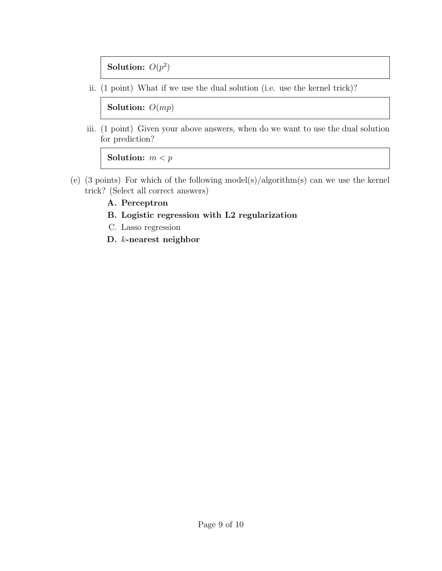Solution:  $O(p^2)$ 

ii. (1 point) What if we use the dual solution (i.e. use the kernel trick)?

Solution:  $O(mp)$ 

iii. (1 point) Given your above answers, when do we want to use the dual solution for prediction?

Solution:  $m < p$ 

- (e) (3 points) For which of the following model(s)/algorithm(s) can we use the kernel trick? (Select all correct answers)
	- A. Perceptron
	- B. Logistic regression with L2 regularization
	- C. Lasso regression
	- D. k-nearest neighbor